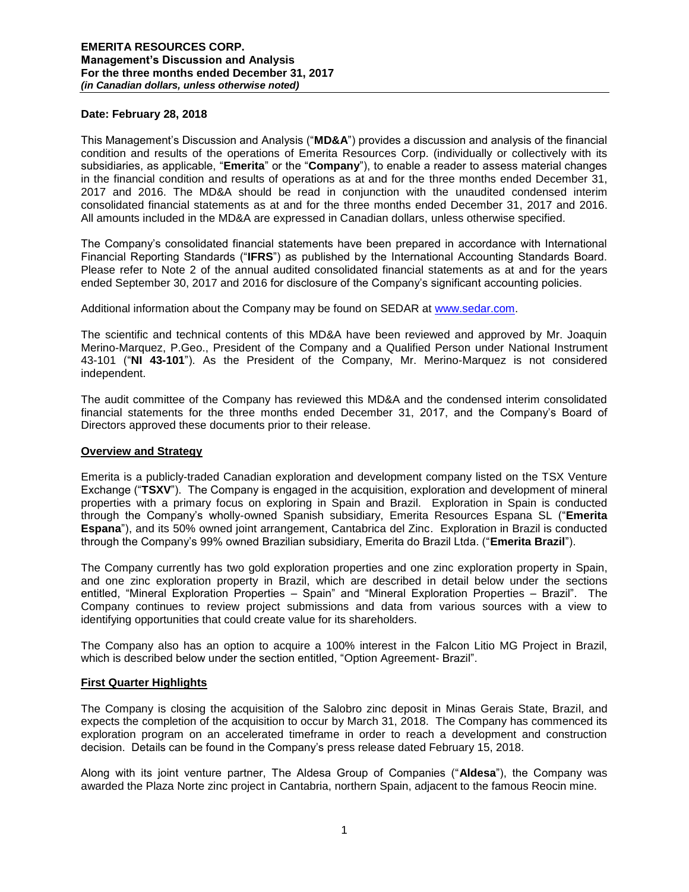## **Date: February 28, 2018**

This Management's Discussion and Analysis ("**MD&A**") provides a discussion and analysis of the financial condition and results of the operations of Emerita Resources Corp. (individually or collectively with its subsidiaries, as applicable, "**Emerita**" or the "**Company**"), to enable a reader to assess material changes in the financial condition and results of operations as at and for the three months ended December 31, 2017 and 2016. The MD&A should be read in conjunction with the unaudited condensed interim consolidated financial statements as at and for the three months ended December 31, 2017 and 2016. All amounts included in the MD&A are expressed in Canadian dollars, unless otherwise specified.

The Company's consolidated financial statements have been prepared in accordance with International Financial Reporting Standards ("**IFRS**") as published by the International Accounting Standards Board. Please refer to Note 2 of the annual audited consolidated financial statements as at and for the years ended September 30, 2017 and 2016 for disclosure of the Company's significant accounting policies.

Additional information about the Company may be found on SEDAR at [www.sedar.com.](http://www.sedar.com/)

The scientific and technical contents of this MD&A have been reviewed and approved by Mr. Joaquin Merino-Marquez, P.Geo., President of the Company and a Qualified Person under National Instrument 43-101 ("**NI 43-101**"). As the President of the Company, Mr. Merino-Marquez is not considered independent.

The audit committee of the Company has reviewed this MD&A and the condensed interim consolidated financial statements for the three months ended December 31, 2017, and the Company's Board of Directors approved these documents prior to their release.

#### **Overview and Strategy**

Emerita is a publicly-traded Canadian exploration and development company listed on the TSX Venture Exchange ("**TSXV**"). The Company is engaged in the acquisition, exploration and development of mineral properties with a primary focus on exploring in Spain and Brazil. Exploration in Spain is conducted through the Company's wholly-owned Spanish subsidiary, Emerita Resources Espana SL ("**Emerita Espana**"), and its 50% owned joint arrangement, Cantabrica del Zinc. Exploration in Brazil is conducted through the Company's 99% owned Brazilian subsidiary, Emerita do Brazil Ltda. ("**Emerita Brazil**").

The Company currently has two gold exploration properties and one zinc exploration property in Spain, and one zinc exploration property in Brazil, which are described in detail below under the sections entitled, "Mineral Exploration Properties – Spain" and "Mineral Exploration Properties – Brazil". The Company continues to review project submissions and data from various sources with a view to identifying opportunities that could create value for its shareholders.

The Company also has an option to acquire a 100% interest in the Falcon Litio MG Project in Brazil, which is described below under the section entitled, "Option Agreement- Brazil".

#### **First Quarter Highlights**

The Company is closing the acquisition of the Salobro zinc deposit in Minas Gerais State, Brazil, and expects the completion of the acquisition to occur by March 31, 2018. The Company has commenced its exploration program on an accelerated timeframe in order to reach a development and construction decision. Details can be found in the Company's press release dated February 15, 2018.

Along with its joint venture partner, The Aldesa Group of Companies ("**Aldesa**"), the Company was awarded the Plaza Norte zinc project in Cantabria, northern Spain, adjacent to the famous Reocin mine.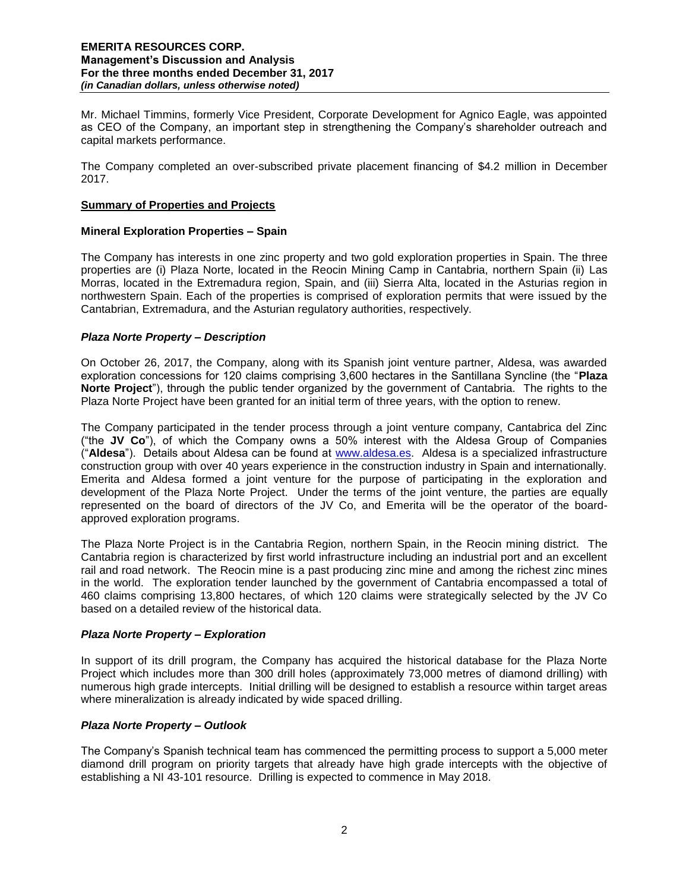Mr. Michael Timmins, formerly Vice President, Corporate Development for Agnico Eagle, was appointed as CEO of the Company, an important step in strengthening the Company's shareholder outreach and capital markets performance.

The Company completed an over-subscribed private placement financing of \$4.2 million in December 2017.

### **Summary of Properties and Projects**

## **Mineral Exploration Properties – Spain**

The Company has interests in one zinc property and two gold exploration properties in Spain. The three properties are (i) Plaza Norte, located in the Reocin Mining Camp in Cantabria, northern Spain (ii) Las Morras, located in the Extremadura region, Spain, and (iii) Sierra Alta, located in the Asturias region in northwestern Spain. Each of the properties is comprised of exploration permits that were issued by the Cantabrian, Extremadura, and the Asturian regulatory authorities, respectively.

## *Plaza Norte Property – Description*

On October 26, 2017, the Company, along with its Spanish joint venture partner, Aldesa, was awarded exploration concessions for 120 claims comprising 3,600 hectares in the Santillana Syncline (the "**Plaza Norte Project**"), through the public tender organized by the government of Cantabria. The rights to the Plaza Norte Project have been granted for an initial term of three years, with the option to renew.

The Company participated in the tender process through a joint venture company, Cantabrica del Zinc ("the **JV Co**"), of which the Company owns a 50% interest with the Aldesa Group of Companies ("**Aldesa**"). Details about Aldesa can be found at [www.aldesa.es.](http://www.aldesa.es/) Aldesa is a specialized infrastructure construction group with over 40 years experience in the construction industry in Spain and internationally. Emerita and Aldesa formed a joint venture for the purpose of participating in the exploration and development of the Plaza Norte Project. Under the terms of the joint venture, the parties are equally represented on the board of directors of the JV Co, and Emerita will be the operator of the boardapproved exploration programs.

The Plaza Norte Project is in the Cantabria Region, northern Spain, in the Reocin mining district. The Cantabria region is characterized by first world infrastructure including an industrial port and an excellent rail and road network. The Reocin mine is a past producing zinc mine and among the richest zinc mines in the world. The exploration tender launched by the government of Cantabria encompassed a total of 460 claims comprising 13,800 hectares, of which 120 claims were strategically selected by the JV Co based on a detailed review of the historical data.

## *Plaza Norte Property – Exploration*

In support of its drill program, the Company has acquired the historical database for the Plaza Norte Project which includes more than 300 drill holes (approximately 73,000 metres of diamond drilling) with numerous high grade intercepts. Initial drilling will be designed to establish a resource within target areas where mineralization is already indicated by wide spaced drilling.

## *Plaza Norte Property – Outlook*

The Company's Spanish technical team has commenced the permitting process to support a 5,000 meter diamond drill program on priority targets that already have high grade intercepts with the objective of establishing a NI 43-101 resource. Drilling is expected to commence in May 2018.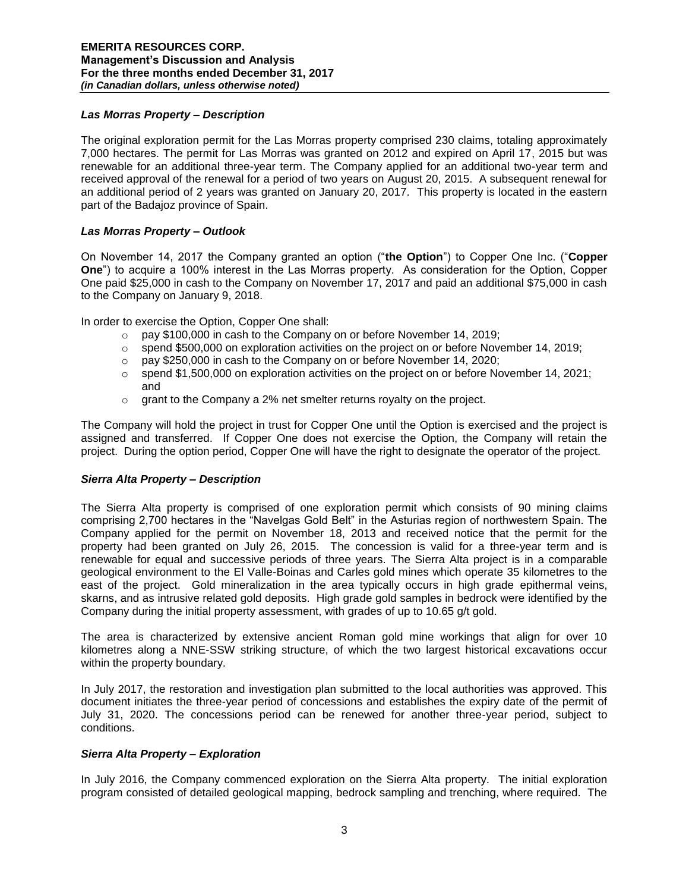# *Las Morras Property – Description*

The original exploration permit for the Las Morras property comprised 230 claims, totaling approximately 7,000 hectares. The permit for Las Morras was granted on 2012 and expired on April 17, 2015 but was renewable for an additional three-year term. The Company applied for an additional two-year term and received approval of the renewal for a period of two years on August 20, 2015. A subsequent renewal for an additional period of 2 years was granted on January 20, 2017. This property is located in the eastern part of the Badajoz province of Spain.

# *Las Morras Property – Outlook*

On November 14, 2017 the Company granted an option ("**the Option**") to Copper One Inc. ("**Copper One**") to acquire a 100% interest in the Las Morras property. As consideration for the Option, Copper One paid \$25,000 in cash to the Company on November 17, 2017 and paid an additional \$75,000 in cash to the Company on January 9, 2018.

In order to exercise the Option, Copper One shall:

- o pay \$100,000 in cash to the Company on or before November 14, 2019;
- $\circ$  spend \$500,000 on exploration activities on the project on or before November 14, 2019;
- o pay \$250,000 in cash to the Company on or before November 14, 2020;
- $\circ$  spend \$1,500,000 on exploration activities on the project on or before November 14, 2021; and
- $\circ$  grant to the Company a 2% net smelter returns royalty on the project.

The Company will hold the project in trust for Copper One until the Option is exercised and the project is assigned and transferred. If Copper One does not exercise the Option, the Company will retain the project. During the option period, Copper One will have the right to designate the operator of the project.

## *Sierra Alta Property – Description*

The Sierra Alta property is comprised of one exploration permit which consists of 90 mining claims comprising 2,700 hectares in the "Navelgas Gold Belt" in the Asturias region of northwestern Spain. The Company applied for the permit on November 18, 2013 and received notice that the permit for the property had been granted on July 26, 2015. The concession is valid for a three-year term and is renewable for equal and successive periods of three years. The Sierra Alta project is in a comparable geological environment to the El Valle-Boinas and Carles gold mines which operate 35 kilometres to the east of the project. Gold mineralization in the area typically occurs in high grade epithermal veins, skarns, and as intrusive related gold deposits. High grade gold samples in bedrock were identified by the Company during the initial property assessment, with grades of up to 10.65 g/t gold.

The area is characterized by extensive ancient Roman gold mine workings that align for over 10 kilometres along a NNE-SSW striking structure, of which the two largest historical excavations occur within the property boundary.

In July 2017, the restoration and investigation plan submitted to the local authorities was approved. This document initiates the three-year period of concessions and establishes the expiry date of the permit of July 31, 2020. The concessions period can be renewed for another three-year period, subject to conditions.

# *Sierra Alta Property – Exploration*

In July 2016, the Company commenced exploration on the Sierra Alta property. The initial exploration program consisted of detailed geological mapping, bedrock sampling and trenching, where required. The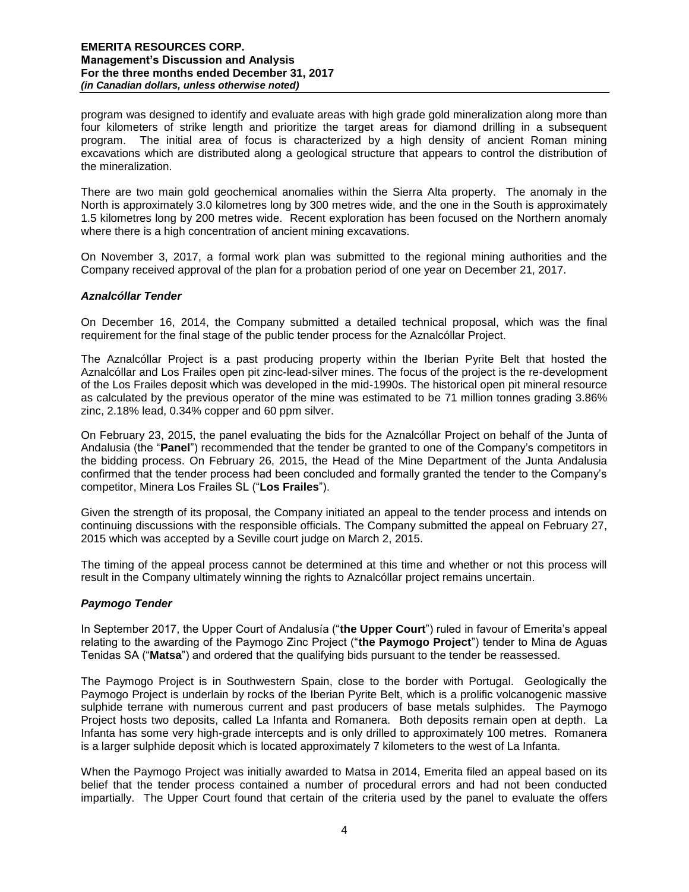program was designed to identify and evaluate areas with high grade gold mineralization along more than four kilometers of strike length and prioritize the target areas for diamond drilling in a subsequent program. The initial area of focus is characterized by a high density of ancient Roman mining excavations which are distributed along a geological structure that appears to control the distribution of the mineralization.

There are two main gold geochemical anomalies within the Sierra Alta property. The anomaly in the North is approximately 3.0 kilometres long by 300 metres wide, and the one in the South is approximately 1.5 kilometres long by 200 metres wide. Recent exploration has been focused on the Northern anomaly where there is a high concentration of ancient mining excavations.

On November 3, 2017, a formal work plan was submitted to the regional mining authorities and the Company received approval of the plan for a probation period of one year on December 21, 2017.

#### *Aznalcóllar Tender*

On December 16, 2014, the Company submitted a detailed technical proposal, which was the final requirement for the final stage of the public tender process for the Aznalcóllar Project.

The Aznalcóllar Project is a past producing property within the Iberian Pyrite Belt that hosted the Aznalcóllar and Los Frailes open pit zinc-lead-silver mines. The focus of the project is the re-development of the Los Frailes deposit which was developed in the mid-1990s. The historical open pit mineral resource as calculated by the previous operator of the mine was estimated to be 71 million tonnes grading 3.86% zinc, 2.18% lead, 0.34% copper and 60 ppm silver.

On February 23, 2015, the panel evaluating the bids for the Aznalcóllar Project on behalf of the Junta of Andalusia (the "**Panel**") recommended that the tender be granted to one of the Company's competitors in the bidding process. On February 26, 2015, the Head of the Mine Department of the Junta Andalusia confirmed that the tender process had been concluded and formally granted the tender to the Company's competitor, Minera Los Frailes SL ("**Los Frailes**").

Given the strength of its proposal, the Company initiated an appeal to the tender process and intends on continuing discussions with the responsible officials. The Company submitted the appeal on February 27, 2015 which was accepted by a Seville court judge on March 2, 2015.

The timing of the appeal process cannot be determined at this time and whether or not this process will result in the Company ultimately winning the rights to Aznalcóllar project remains uncertain.

## *Paymogo Tender*

In September 2017, the Upper Court of Andalusía ("**the Upper Court**") ruled in favour of Emerita's appeal relating to the awarding of the Paymogo Zinc Project ("**the Paymogo Project**") tender to Mina de Aguas Tenidas SA ("**Matsa**") and ordered that the qualifying bids pursuant to the tender be reassessed.

The Paymogo Project is in Southwestern Spain, close to the border with Portugal. Geologically the Paymogo Project is underlain by rocks of the Iberian Pyrite Belt, which is a prolific volcanogenic massive sulphide terrane with numerous current and past producers of base metals sulphides. The Paymogo Project hosts two deposits, called La Infanta and Romanera. Both deposits remain open at depth. La Infanta has some very high-grade intercepts and is only drilled to approximately 100 metres. Romanera is a larger sulphide deposit which is located approximately 7 kilometers to the west of La Infanta.

When the Paymogo Project was initially awarded to Matsa in 2014, Emerita filed an appeal based on its belief that the tender process contained a number of procedural errors and had not been conducted impartially. The Upper Court found that certain of the criteria used by the panel to evaluate the offers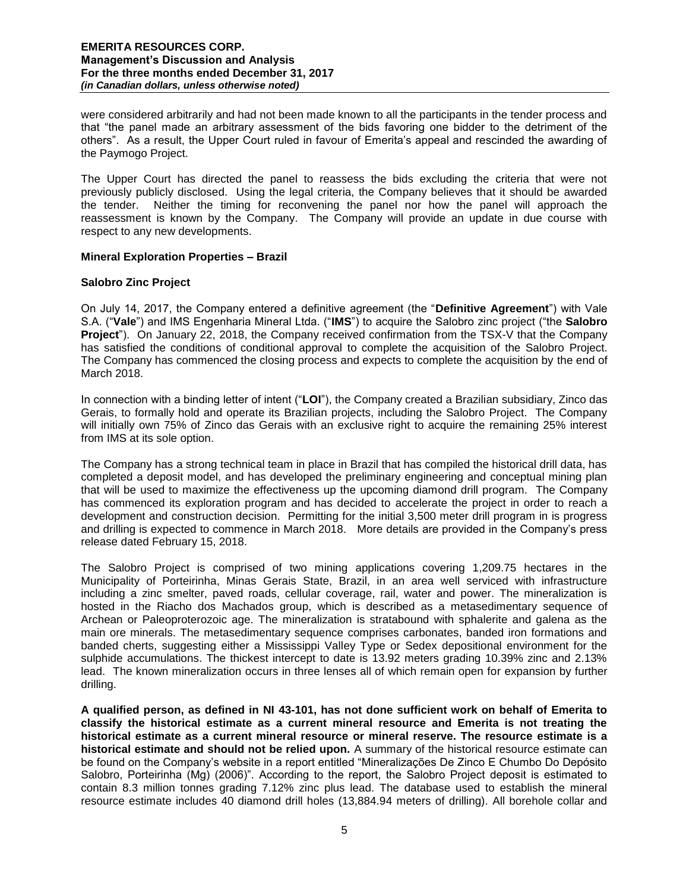were considered arbitrarily and had not been made known to all the participants in the tender process and that "the panel made an arbitrary assessment of the bids favoring one bidder to the detriment of the others". As a result, the Upper Court ruled in favour of Emerita's appeal and rescinded the awarding of the Paymogo Project.

The Upper Court has directed the panel to reassess the bids excluding the criteria that were not previously publicly disclosed. Using the legal criteria, the Company believes that it should be awarded the tender. Neither the timing for reconvening the panel nor how the panel will approach the reassessment is known by the Company. The Company will provide an update in due course with respect to any new developments.

## **Mineral Exploration Properties – Brazil**

# **Salobro Zinc Project**

On July 14, 2017, the Company entered a definitive agreement (the "**Definitive Agreement**") with Vale S.A. ("**Vale**") and IMS Engenharia Mineral Ltda. ("**IMS**") to acquire the Salobro zinc project ("the **Salobro Project**"). On January 22, 2018, the Company received confirmation from the TSX-V that the Company has satisfied the conditions of conditional approval to complete the acquisition of the Salobro Project. The Company has commenced the closing process and expects to complete the acquisition by the end of March 2018.

In connection with a binding letter of intent ("**LOI**"), the Company created a Brazilian subsidiary, Zinco das Gerais, to formally hold and operate its Brazilian projects, including the Salobro Project. The Company will initially own 75% of Zinco das Gerais with an exclusive right to acquire the remaining 25% interest from IMS at its sole option.

The Company has a strong technical team in place in Brazil that has compiled the historical drill data, has completed a deposit model, and has developed the preliminary engineering and conceptual mining plan that will be used to maximize the effectiveness up the upcoming diamond drill program. The Company has commenced its exploration program and has decided to accelerate the project in order to reach a development and construction decision. Permitting for the initial 3,500 meter drill program in is progress and drilling is expected to commence in March 2018. More details are provided in the Company's press release dated February 15, 2018.

The Salobro Project is comprised of two mining applications covering 1,209.75 hectares in the Municipality of Porteirinha, Minas Gerais State, Brazil, in an area well serviced with infrastructure including a zinc smelter, paved roads, cellular coverage, rail, water and power. The mineralization is hosted in the Riacho dos Machados group, which is described as a metasedimentary sequence of Archean or Paleoproterozoic age. The mineralization is stratabound with sphalerite and galena as the main ore minerals. The metasedimentary sequence comprises carbonates, banded iron formations and banded cherts, suggesting either a Mississippi Valley Type or Sedex depositional environment for the sulphide accumulations. The thickest intercept to date is 13.92 meters grading 10.39% zinc and 2.13% lead. The known mineralization occurs in three lenses all of which remain open for expansion by further drilling.

**A qualified person, as defined in NI 43-101, has not done sufficient work on behalf of Emerita to classify the historical estimate as a current mineral resource and Emerita is not treating the historical estimate as a current mineral resource or mineral reserve. The resource estimate is a historical estimate and should not be relied upon.** A summary of the historical resource estimate can be found on the Company's website in a report entitled "Mineralizações De Zinco E Chumbo Do Depósito Salobro, Porteirinha (Mg) (2006)". According to the report, the Salobro Project deposit is estimated to contain 8.3 million tonnes grading 7.12% zinc plus lead. The database used to establish the mineral resource estimate includes 40 diamond drill holes (13,884.94 meters of drilling). All borehole collar and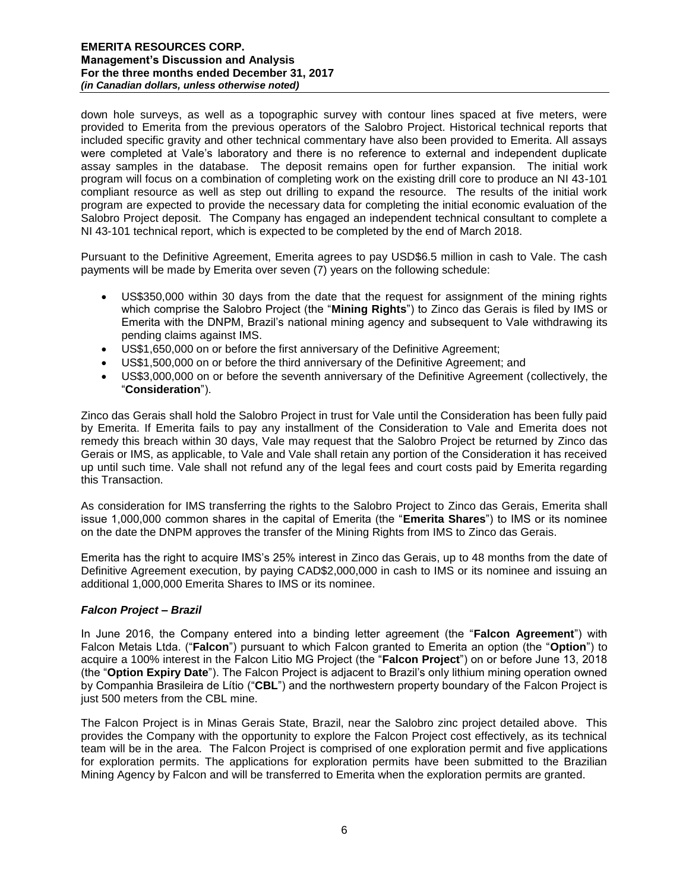down hole surveys, as well as a topographic survey with contour lines spaced at five meters, were provided to Emerita from the previous operators of the Salobro Project. Historical technical reports that included specific gravity and other technical commentary have also been provided to Emerita. All assays were completed at Vale's laboratory and there is no reference to external and independent duplicate assay samples in the database. The deposit remains open for further expansion. The initial work program will focus on a combination of completing work on the existing drill core to produce an NI 43-101 compliant resource as well as step out drilling to expand the resource. The results of the initial work program are expected to provide the necessary data for completing the initial economic evaluation of the Salobro Project deposit. The Company has engaged an independent technical consultant to complete a NI 43-101 technical report, which is expected to be completed by the end of March 2018.

Pursuant to the Definitive Agreement, Emerita agrees to pay USD\$6.5 million in cash to Vale. The cash payments will be made by Emerita over seven (7) years on the following schedule:

- US\$350,000 within 30 days from the date that the request for assignment of the mining rights which comprise the Salobro Project (the "**Mining Rights**") to Zinco das Gerais is filed by IMS or Emerita with the DNPM, Brazil's national mining agency and subsequent to Vale withdrawing its pending claims against IMS.
- US\$1,650,000 on or before the first anniversary of the Definitive Agreement;
- US\$1,500,000 on or before the third anniversary of the Definitive Agreement; and
- US\$3,000,000 on or before the seventh anniversary of the Definitive Agreement (collectively, the "**Consideration**").

Zinco das Gerais shall hold the Salobro Project in trust for Vale until the Consideration has been fully paid by Emerita. If Emerita fails to pay any installment of the Consideration to Vale and Emerita does not remedy this breach within 30 days, Vale may request that the Salobro Project be returned by Zinco das Gerais or IMS, as applicable, to Vale and Vale shall retain any portion of the Consideration it has received up until such time. Vale shall not refund any of the legal fees and court costs paid by Emerita regarding this Transaction.

As consideration for IMS transferring the rights to the Salobro Project to Zinco das Gerais, Emerita shall issue 1,000,000 common shares in the capital of Emerita (the "**Emerita Shares**") to IMS or its nominee on the date the DNPM approves the transfer of the Mining Rights from IMS to Zinco das Gerais.

Emerita has the right to acquire IMS's 25% interest in Zinco das Gerais, up to 48 months from the date of Definitive Agreement execution, by paying CAD\$2,000,000 in cash to IMS or its nominee and issuing an additional 1,000,000 Emerita Shares to IMS or its nominee.

## *Falcon Project – Brazil*

In June 2016, the Company entered into a binding letter agreement (the "**Falcon Agreement**") with Falcon Metais Ltda. ("**Falcon**") pursuant to which Falcon granted to Emerita an option (the "**Option**") to acquire a 100% interest in the Falcon Litio MG Project (the "**Falcon Project**") on or before June 13, 2018 (the "**Option Expiry Date**"). The Falcon Project is adjacent to Brazil's only lithium mining operation owned by Companhia Brasileira de Lítio ("**CBL**") and the northwestern property boundary of the Falcon Project is just 500 meters from the CBL mine.

The Falcon Project is in Minas Gerais State, Brazil, near the Salobro zinc project detailed above. This provides the Company with the opportunity to explore the Falcon Project cost effectively, as its technical team will be in the area. The Falcon Project is comprised of one exploration permit and five applications for exploration permits. The applications for exploration permits have been submitted to the Brazilian Mining Agency by Falcon and will be transferred to Emerita when the exploration permits are granted.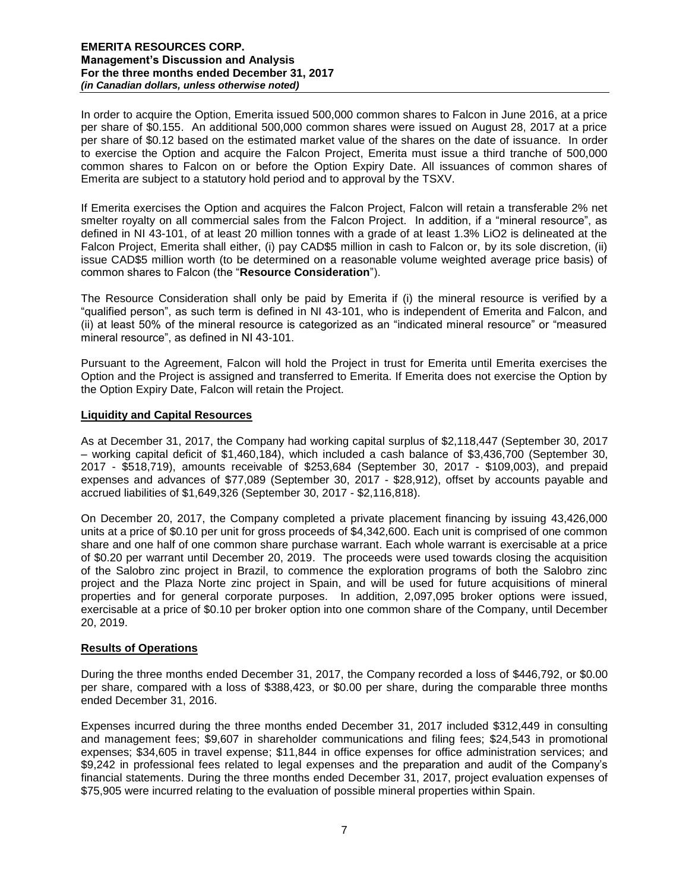In order to acquire the Option, Emerita issued 500,000 common shares to Falcon in June 2016, at a price per share of \$0.155. An additional 500,000 common shares were issued on August 28, 2017 at a price per share of \$0.12 based on the estimated market value of the shares on the date of issuance. In order to exercise the Option and acquire the Falcon Project, Emerita must issue a third tranche of 500,000 common shares to Falcon on or before the Option Expiry Date. All issuances of common shares of Emerita are subject to a statutory hold period and to approval by the TSXV.

If Emerita exercises the Option and acquires the Falcon Project, Falcon will retain a transferable 2% net smelter royalty on all commercial sales from the Falcon Project. In addition, if a "mineral resource", as defined in NI 43-101, of at least 20 million tonnes with a grade of at least 1.3% LiO2 is delineated at the Falcon Project, Emerita shall either, (i) pay CAD\$5 million in cash to Falcon or, by its sole discretion, (ii) issue CAD\$5 million worth (to be determined on a reasonable volume weighted average price basis) of common shares to Falcon (the "**Resource Consideration**").

The Resource Consideration shall only be paid by Emerita if (i) the mineral resource is verified by a "qualified person", as such term is defined in NI 43-101, who is independent of Emerita and Falcon, and (ii) at least 50% of the mineral resource is categorized as an "indicated mineral resource" or "measured mineral resource", as defined in NI 43-101.

Pursuant to the Agreement, Falcon will hold the Project in trust for Emerita until Emerita exercises the Option and the Project is assigned and transferred to Emerita. If Emerita does not exercise the Option by the Option Expiry Date, Falcon will retain the Project.

## **Liquidity and Capital Resources**

As at December 31, 2017, the Company had working capital surplus of \$2,118,447 (September 30, 2017 – working capital deficit of \$1,460,184), which included a cash balance of \$3,436,700 (September 30, 2017 - \$518,719), amounts receivable of \$253,684 (September 30, 2017 - \$109,003), and prepaid expenses and advances of \$77,089 (September 30, 2017 - \$28,912), offset by accounts payable and accrued liabilities of \$1,649,326 (September 30, 2017 - \$2,116,818).

On December 20, 2017, the Company completed a private placement financing by issuing 43,426,000 units at a price of \$0.10 per unit for gross proceeds of \$4,342,600. Each unit is comprised of one common share and one half of one common share purchase warrant. Each whole warrant is exercisable at a price of \$0.20 per warrant until December 20, 2019. The proceeds were used towards closing the acquisition of the Salobro zinc project in Brazil, to commence the exploration programs of both the Salobro zinc project and the Plaza Norte zinc project in Spain, and will be used for future acquisitions of mineral properties and for general corporate purposes. In addition, 2,097,095 broker options were issued, exercisable at a price of \$0.10 per broker option into one common share of the Company, until December 20, 2019.

## **Results of Operations**

During the three months ended December 31, 2017, the Company recorded a loss of \$446,792, or \$0.00 per share, compared with a loss of \$388,423, or \$0.00 per share, during the comparable three months ended December 31, 2016.

Expenses incurred during the three months ended December 31, 2017 included \$312,449 in consulting and management fees; \$9,607 in shareholder communications and filing fees; \$24,543 in promotional expenses; \$34,605 in travel expense; \$11,844 in office expenses for office administration services; and \$9,242 in professional fees related to legal expenses and the preparation and audit of the Company's financial statements. During the three months ended December 31, 2017, project evaluation expenses of \$75,905 were incurred relating to the evaluation of possible mineral properties within Spain.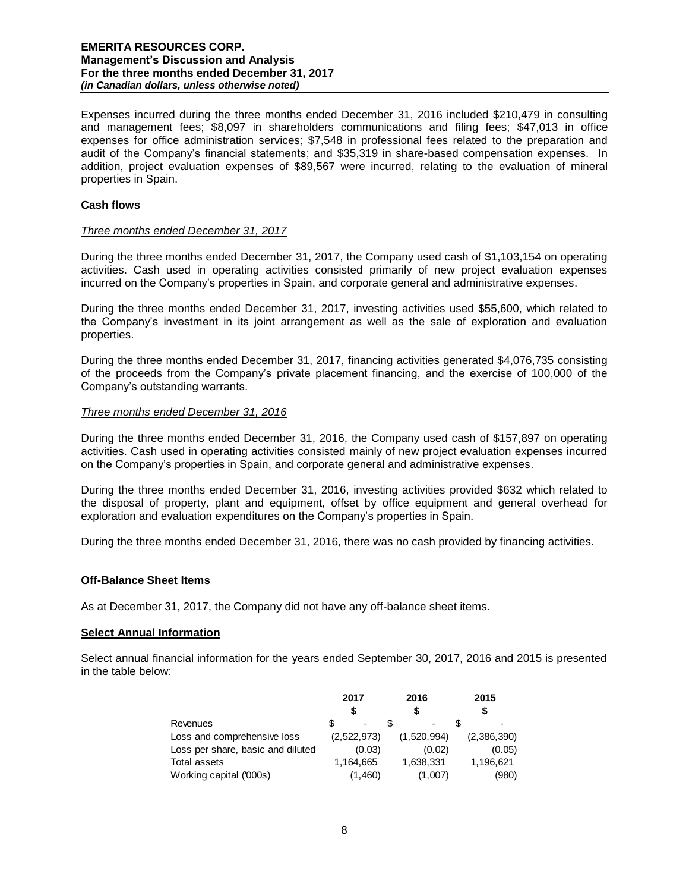Expenses incurred during the three months ended December 31, 2016 included \$210,479 in consulting and management fees; \$8,097 in shareholders communications and filing fees; \$47,013 in office expenses for office administration services; \$7,548 in professional fees related to the preparation and audit of the Company's financial statements; and \$35,319 in share-based compensation expenses. In addition, project evaluation expenses of \$89,567 were incurred, relating to the evaluation of mineral properties in Spain.

# **Cash flows**

#### *Three months ended December 31, 2017*

During the three months ended December 31, 2017, the Company used cash of \$1,103,154 on operating activities. Cash used in operating activities consisted primarily of new project evaluation expenses incurred on the Company's properties in Spain, and corporate general and administrative expenses.

During the three months ended December 31, 2017, investing activities used \$55,600, which related to the Company's investment in its joint arrangement as well as the sale of exploration and evaluation properties.

During the three months ended December 31, 2017, financing activities generated \$4,076,735 consisting of the proceeds from the Company's private placement financing, and the exercise of 100,000 of the Company's outstanding warrants.

#### *Three months ended December 31, 2016*

During the three months ended December 31, 2016, the Company used cash of \$157,897 on operating activities. Cash used in operating activities consisted mainly of new project evaluation expenses incurred on the Company's properties in Spain, and corporate general and administrative expenses.

During the three months ended December 31, 2016, investing activities provided \$632 which related to the disposal of property, plant and equipment, offset by office equipment and general overhead for exploration and evaluation expenditures on the Company's properties in Spain.

During the three months ended December 31, 2016, there was no cash provided by financing activities.

#### **Off-Balance Sheet Items**

As at December 31, 2017, the Company did not have any off-balance sheet items.

#### **Select Annual Information**

Select annual financial information for the years ended September 30, 2017, 2016 and 2015 is presented in the table below:

|                                   | 2017 |             |  | 2016        |  | 2015        |  |
|-----------------------------------|------|-------------|--|-------------|--|-------------|--|
|                                   |      |             |  |             |  |             |  |
| Revenues                          |      |             |  | ٠           |  |             |  |
| Loss and comprehensive loss       |      | (2,522,973) |  | (1,520,994) |  | (2,386,390) |  |
| Loss per share, basic and diluted |      | (0.03)      |  | (0.02)      |  | (0.05)      |  |
| Total assets                      |      | 1,164,665   |  | 1,638,331   |  | 1,196,621   |  |
| Working capital ('000s)           |      | (1,460)     |  | (1,007)     |  | (980)       |  |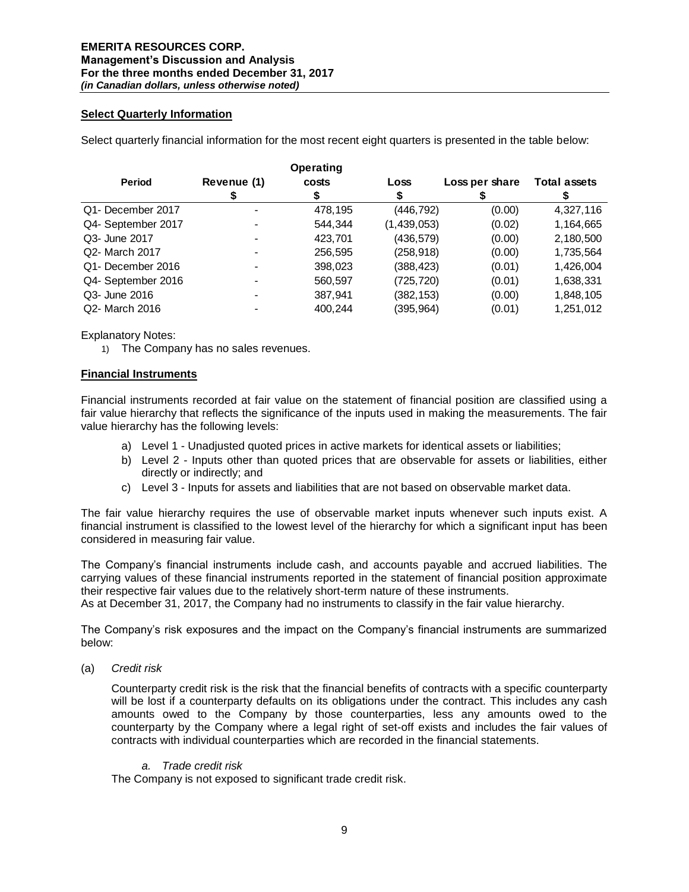## **Select Quarterly Information**

Select quarterly financial information for the most recent eight quarters is presented in the table below:

|                    |             | Operating |             |                |                     |
|--------------------|-------------|-----------|-------------|----------------|---------------------|
| <b>Period</b>      | Revenue (1) | costs     | Loss        | Loss per share | <b>Total assets</b> |
|                    |             |           |             |                |                     |
| Q1- December 2017  |             | 478,195   | (446,792)   | (0.00)         | 4,327,116           |
| Q4- September 2017 |             | 544.344   | (1,439,053) | (0.02)         | 1,164,665           |
| Q3- June 2017      |             | 423,701   | (436,579)   | (0.00)         | 2,180,500           |
| Q2- March 2017     |             | 256,595   | (258,918)   | (0.00)         | 1,735,564           |
| Q1- December 2016  |             | 398,023   | (388,423)   | (0.01)         | 1,426,004           |
| Q4- September 2016 |             | 560,597   | (725,720)   | (0.01)         | 1,638,331           |
| Q3- June 2016      |             | 387,941   | (382,153)   | (0.00)         | 1,848,105           |
| Q2- March 2016     |             | 400.244   | (395,964)   | (0.01)         | 1,251,012           |

Explanatory Notes:

1) The Company has no sales revenues.

#### **Financial Instruments**

Financial instruments recorded at fair value on the statement of financial position are classified using a fair value hierarchy that reflects the significance of the inputs used in making the measurements. The fair value hierarchy has the following levels:

- a) Level 1 Unadjusted quoted prices in active markets for identical assets or liabilities;
- b) Level 2 Inputs other than quoted prices that are observable for assets or liabilities, either directly or indirectly; and
- c) Level 3 Inputs for assets and liabilities that are not based on observable market data.

The fair value hierarchy requires the use of observable market inputs whenever such inputs exist. A financial instrument is classified to the lowest level of the hierarchy for which a significant input has been considered in measuring fair value.

The Company's financial instruments include cash, and accounts payable and accrued liabilities. The carrying values of these financial instruments reported in the statement of financial position approximate their respective fair values due to the relatively short-term nature of these instruments.

As at December 31, 2017, the Company had no instruments to classify in the fair value hierarchy.

The Company's risk exposures and the impact on the Company's financial instruments are summarized below:

(a) *Credit risk* 

Counterparty credit risk is the risk that the financial benefits of contracts with a specific counterparty will be lost if a counterparty defaults on its obligations under the contract. This includes any cash amounts owed to the Company by those counterparties, less any amounts owed to the counterparty by the Company where a legal right of set-off exists and includes the fair values of contracts with individual counterparties which are recorded in the financial statements.

#### *a. Trade credit risk*

The Company is not exposed to significant trade credit risk.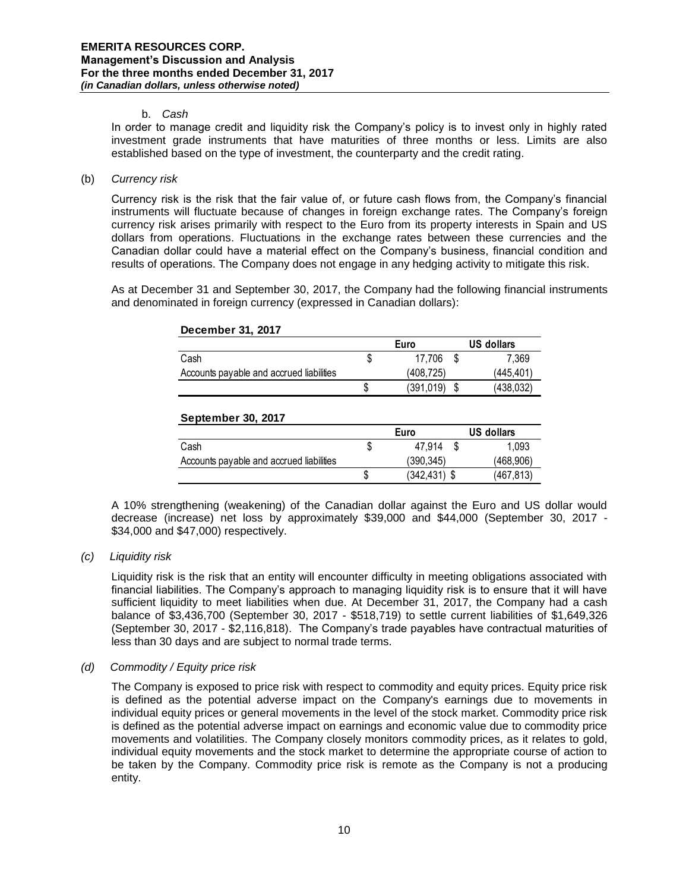#### b. *Cash*

In order to manage credit and liquidity risk the Company's policy is to invest only in highly rated investment grade instruments that have maturities of three months or less. Limits are also established based on the type of investment, the counterparty and the credit rating.

(b) *Currency risk* 

Currency risk is the risk that the fair value of, or future cash flows from, the Company's financial instruments will fluctuate because of changes in foreign exchange rates. The Company's foreign currency risk arises primarily with respect to the Euro from its property interests in Spain and US dollars from operations. Fluctuations in the exchange rates between these currencies and the Canadian dollar could have a material effect on the Company's business, financial condition and results of operations. The Company does not engage in any hedging activity to mitigate this risk.

As at December 31 and September 30, 2017, the Company had the following financial instruments and denominated in foreign currency (expressed in Canadian dollars):

|                                          |    | Euro       |   | <b>US dollars</b> |
|------------------------------------------|----|------------|---|-------------------|
| Cash                                     | \$ | 17,706     | S | 7,369             |
| Accounts payable and accrued liabilities |    | (408, 725) |   | (445, 401)        |
|                                          | S  | (391,019)  | S | (438, 032)        |
| <b>September 30, 2017</b>                |    |            |   |                   |
|                                          |    | Euro       |   | <b>US dollars</b> |
| Cash                                     | S  | 47.914     | S | 1.093             |

#### **December 31, 2017**

A 10% strengthening (weakening) of the Canadian dollar against the Euro and US dollar would decrease (increase) net loss by approximately \$39,000 and \$44,000 (September 30, 2017 - \$34,000 and \$47,000) respectively.

Accounts payable and accrued liabilities (390,345) (468,906)

 $\sqrt{342,431}$   $\sqrt{5}$  (467,813)

*(c) Liquidity risk* 

Liquidity risk is the risk that an entity will encounter difficulty in meeting obligations associated with financial liabilities. The Company's approach to managing liquidity risk is to ensure that it will have sufficient liquidity to meet liabilities when due. At December 31, 2017, the Company had a cash balance of \$3,436,700 (September 30, 2017 - \$518,719) to settle current liabilities of \$1,649,326 (September 30, 2017 - \$2,116,818). The Company's trade payables have contractual maturities of less than 30 days and are subject to normal trade terms.

## *(d) Commodity / Equity price risk*

The Company is exposed to price risk with respect to commodity and equity prices. Equity price risk is defined as the potential adverse impact on the Company's earnings due to movements in individual equity prices or general movements in the level of the stock market. Commodity price risk is defined as the potential adverse impact on earnings and economic value due to commodity price movements and volatilities. The Company closely monitors commodity prices, as it relates to gold, individual equity movements and the stock market to determine the appropriate course of action to be taken by the Company. Commodity price risk is remote as the Company is not a producing entity.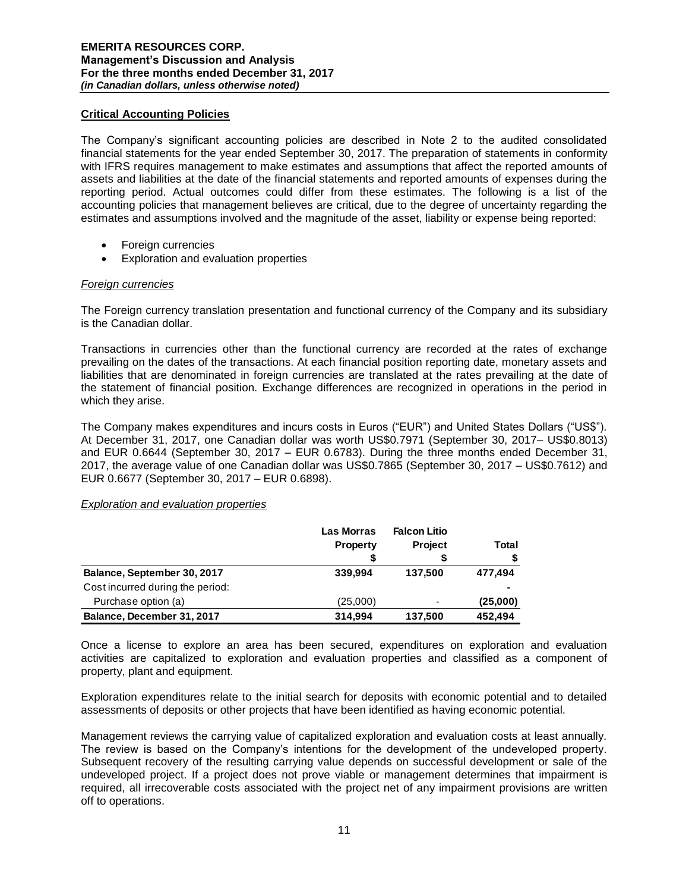## **Critical Accounting Policies**

The Company's significant accounting policies are described in Note 2 to the audited consolidated financial statements for the year ended September 30, 2017. The preparation of statements in conformity with IFRS requires management to make estimates and assumptions that affect the reported amounts of assets and liabilities at the date of the financial statements and reported amounts of expenses during the reporting period. Actual outcomes could differ from these estimates. The following is a list of the accounting policies that management believes are critical, due to the degree of uncertainty regarding the estimates and assumptions involved and the magnitude of the asset, liability or expense being reported:

- Foreign currencies
- Exploration and evaluation properties

## *Foreign currencies*

The Foreign currency translation presentation and functional currency of the Company and its subsidiary is the Canadian dollar.

Transactions in currencies other than the functional currency are recorded at the rates of exchange prevailing on the dates of the transactions. At each financial position reporting date, monetary assets and liabilities that are denominated in foreign currencies are translated at the rates prevailing at the date of the statement of financial position. Exchange differences are recognized in operations in the period in which they arise.

The Company makes expenditures and incurs costs in Euros ("EUR") and United States Dollars ("US\$"). At December 31, 2017, one Canadian dollar was worth US\$0.7971 (September 30, 2017– US\$0.8013) and EUR 0.6644 (September 30, 2017 – EUR 0.6783). During the three months ended December 31, 2017, the average value of one Canadian dollar was US\$0.7865 (September 30, 2017 – US\$0.7612) and EUR 0.6677 (September 30, 2017 – EUR 0.6898).

## *Exploration and evaluation properties*

|                                  | <b>Las Morras</b><br><b>Property</b> | <b>Falcon Litio</b><br><b>Project</b> | Total    |  |
|----------------------------------|--------------------------------------|---------------------------------------|----------|--|
|                                  |                                      |                                       |          |  |
| Balance, September 30, 2017      | 339,994                              | 137,500                               | 477,494  |  |
| Cost incurred during the period: |                                      |                                       | ۰        |  |
| Purchase option (a)              | (25,000)                             | $\overline{\phantom{a}}$              | (25,000) |  |
| Balance, December 31, 2017       | 314,994                              | 137,500                               | 452.494  |  |

Once a license to explore an area has been secured, expenditures on exploration and evaluation activities are capitalized to exploration and evaluation properties and classified as a component of property, plant and equipment.

Exploration expenditures relate to the initial search for deposits with economic potential and to detailed assessments of deposits or other projects that have been identified as having economic potential.

Management reviews the carrying value of capitalized exploration and evaluation costs at least annually. The review is based on the Company's intentions for the development of the undeveloped property. Subsequent recovery of the resulting carrying value depends on successful development or sale of the undeveloped project. If a project does not prove viable or management determines that impairment is required, all irrecoverable costs associated with the project net of any impairment provisions are written off to operations.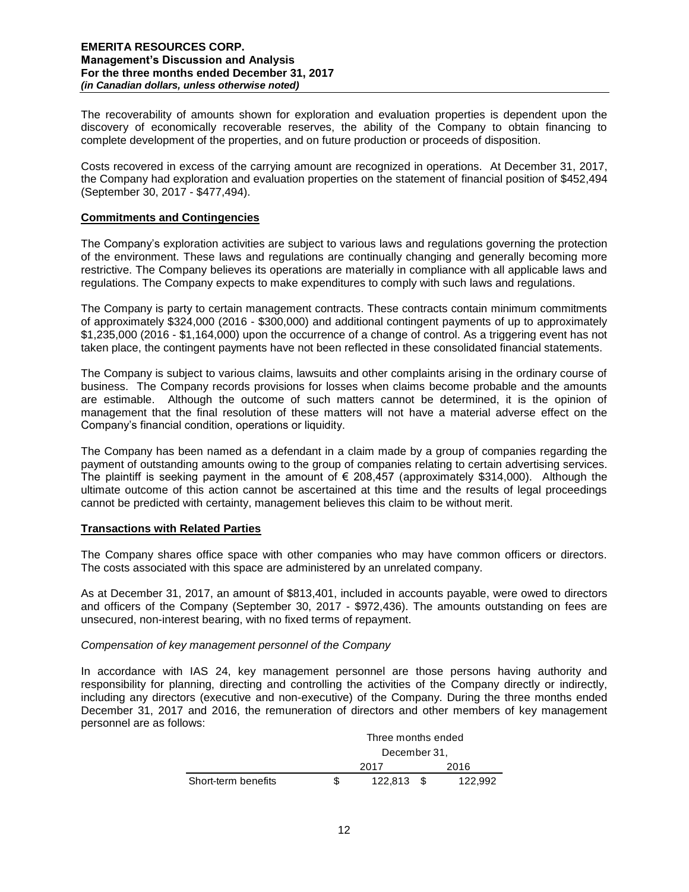The recoverability of amounts shown for exploration and evaluation properties is dependent upon the discovery of economically recoverable reserves, the ability of the Company to obtain financing to complete development of the properties, and on future production or proceeds of disposition.

Costs recovered in excess of the carrying amount are recognized in operations. At December 31, 2017, the Company had exploration and evaluation properties on the statement of financial position of \$452,494 (September 30, 2017 - \$477,494).

### **Commitments and Contingencies**

The Company's exploration activities are subject to various laws and regulations governing the protection of the environment. These laws and regulations are continually changing and generally becoming more restrictive. The Company believes its operations are materially in compliance with all applicable laws and regulations. The Company expects to make expenditures to comply with such laws and regulations.

The Company is party to certain management contracts. These contracts contain minimum commitments of approximately \$324,000 (2016 - \$300,000) and additional contingent payments of up to approximately \$1,235,000 (2016 - \$1,164,000) upon the occurrence of a change of control. As a triggering event has not taken place, the contingent payments have not been reflected in these consolidated financial statements.

The Company is subject to various claims, lawsuits and other complaints arising in the ordinary course of business. The Company records provisions for losses when claims become probable and the amounts are estimable. Although the outcome of such matters cannot be determined, it is the opinion of management that the final resolution of these matters will not have a material adverse effect on the Company's financial condition, operations or liquidity.

The Company has been named as a defendant in a claim made by a group of companies regarding the payment of outstanding amounts owing to the group of companies relating to certain advertising services. The plaintiff is seeking payment in the amount of  $\epsilon$  208,457 (approximately \$314,000). Although the ultimate outcome of this action cannot be ascertained at this time and the results of legal proceedings cannot be predicted with certainty, management believes this claim to be without merit.

## **Transactions with Related Parties**

The Company shares office space with other companies who may have common officers or directors. The costs associated with this space are administered by an unrelated company.

As at December 31, 2017, an amount of \$813,401, included in accounts payable, were owed to directors and officers of the Company (September 30, 2017 - \$972,436). The amounts outstanding on fees are unsecured, non-interest bearing, with no fixed terms of repayment.

## *Compensation of key management personnel of the Company*

In accordance with IAS 24, key management personnel are those persons having authority and responsibility for planning, directing and controlling the activities of the Company directly or indirectly, including any directors (executive and non-executive) of the Company. During the three months ended December 31, 2017 and 2016, the remuneration of directors and other members of key management personnel are as follows:

|                     | Three months ended |      |         |  |
|---------------------|--------------------|------|---------|--|
|                     | December 31,       |      |         |  |
|                     | 2017               |      | 2016    |  |
| Short-term benefits | 122.813            | - \$ | 122.992 |  |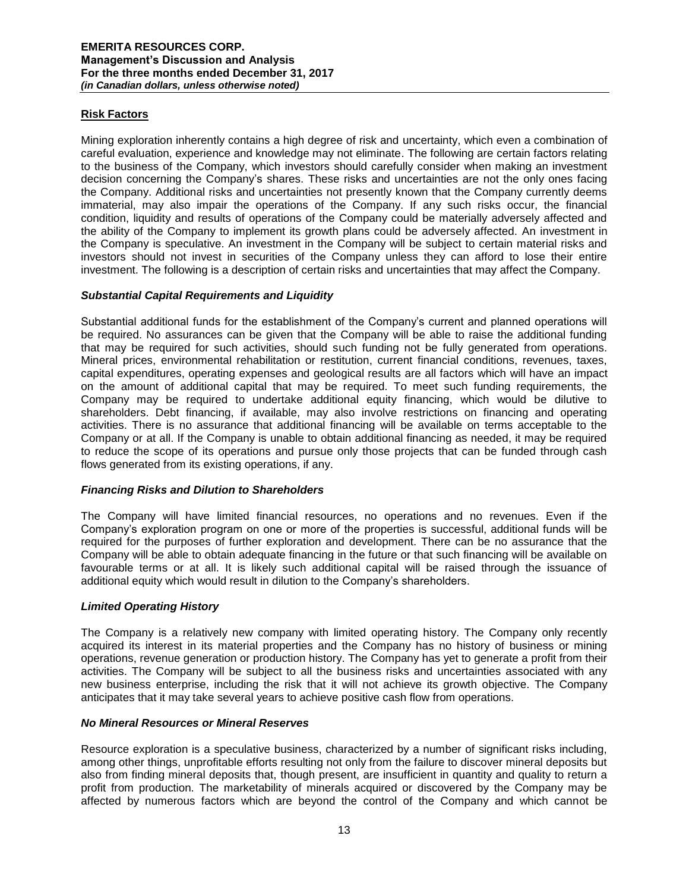# **Risk Factors**

Mining exploration inherently contains a high degree of risk and uncertainty, which even a combination of careful evaluation, experience and knowledge may not eliminate. The following are certain factors relating to the business of the Company, which investors should carefully consider when making an investment decision concerning the Company's shares. These risks and uncertainties are not the only ones facing the Company. Additional risks and uncertainties not presently known that the Company currently deems immaterial, may also impair the operations of the Company. If any such risks occur, the financial condition, liquidity and results of operations of the Company could be materially adversely affected and the ability of the Company to implement its growth plans could be adversely affected. An investment in the Company is speculative. An investment in the Company will be subject to certain material risks and investors should not invest in securities of the Company unless they can afford to lose their entire investment. The following is a description of certain risks and uncertainties that may affect the Company.

## *Substantial Capital Requirements and Liquidity*

Substantial additional funds for the establishment of the Company's current and planned operations will be required. No assurances can be given that the Company will be able to raise the additional funding that may be required for such activities, should such funding not be fully generated from operations. Mineral prices, environmental rehabilitation or restitution, current financial conditions, revenues, taxes, capital expenditures, operating expenses and geological results are all factors which will have an impact on the amount of additional capital that may be required. To meet such funding requirements, the Company may be required to undertake additional equity financing, which would be dilutive to shareholders. Debt financing, if available, may also involve restrictions on financing and operating activities. There is no assurance that additional financing will be available on terms acceptable to the Company or at all. If the Company is unable to obtain additional financing as needed, it may be required to reduce the scope of its operations and pursue only those projects that can be funded through cash flows generated from its existing operations, if any.

## *Financing Risks and Dilution to Shareholders*

The Company will have limited financial resources, no operations and no revenues. Even if the Company's exploration program on one or more of the properties is successful, additional funds will be required for the purposes of further exploration and development. There can be no assurance that the Company will be able to obtain adequate financing in the future or that such financing will be available on favourable terms or at all. It is likely such additional capital will be raised through the issuance of additional equity which would result in dilution to the Company's shareholders.

## *Limited Operating History*

The Company is a relatively new company with limited operating history. The Company only recently acquired its interest in its material properties and the Company has no history of business or mining operations, revenue generation or production history. The Company has yet to generate a profit from their activities. The Company will be subject to all the business risks and uncertainties associated with any new business enterprise, including the risk that it will not achieve its growth objective. The Company anticipates that it may take several years to achieve positive cash flow from operations.

## *No Mineral Resources or Mineral Reserves*

Resource exploration is a speculative business, characterized by a number of significant risks including, among other things, unprofitable efforts resulting not only from the failure to discover mineral deposits but also from finding mineral deposits that, though present, are insufficient in quantity and quality to return a profit from production. The marketability of minerals acquired or discovered by the Company may be affected by numerous factors which are beyond the control of the Company and which cannot be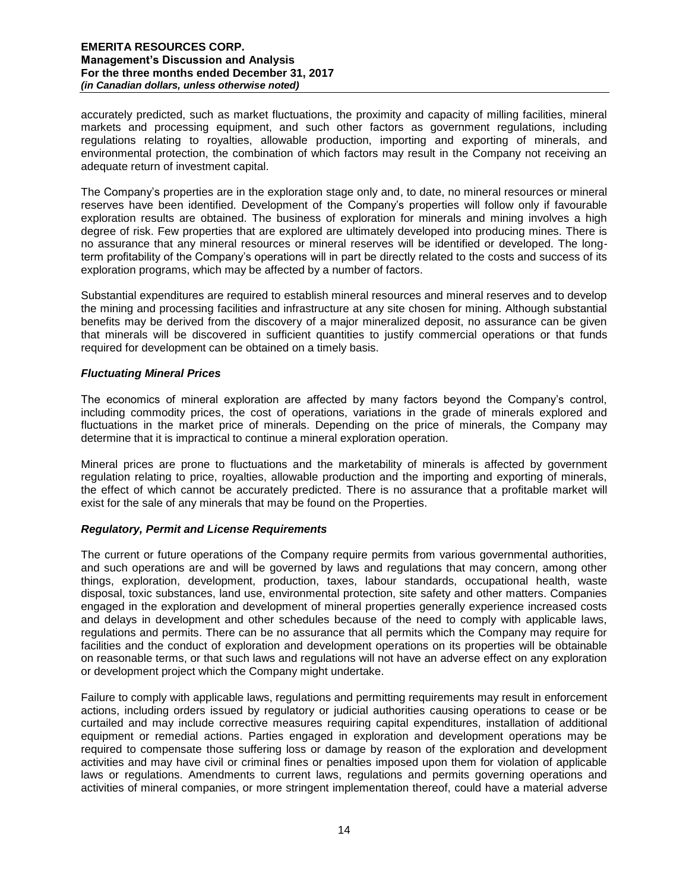accurately predicted, such as market fluctuations, the proximity and capacity of milling facilities, mineral markets and processing equipment, and such other factors as government regulations, including regulations relating to royalties, allowable production, importing and exporting of minerals, and environmental protection, the combination of which factors may result in the Company not receiving an adequate return of investment capital.

The Company's properties are in the exploration stage only and, to date, no mineral resources or mineral reserves have been identified. Development of the Company's properties will follow only if favourable exploration results are obtained. The business of exploration for minerals and mining involves a high degree of risk. Few properties that are explored are ultimately developed into producing mines. There is no assurance that any mineral resources or mineral reserves will be identified or developed. The longterm profitability of the Company's operations will in part be directly related to the costs and success of its exploration programs, which may be affected by a number of factors.

Substantial expenditures are required to establish mineral resources and mineral reserves and to develop the mining and processing facilities and infrastructure at any site chosen for mining. Although substantial benefits may be derived from the discovery of a major mineralized deposit, no assurance can be given that minerals will be discovered in sufficient quantities to justify commercial operations or that funds required for development can be obtained on a timely basis.

# *Fluctuating Mineral Prices*

The economics of mineral exploration are affected by many factors beyond the Company's control, including commodity prices, the cost of operations, variations in the grade of minerals explored and fluctuations in the market price of minerals. Depending on the price of minerals, the Company may determine that it is impractical to continue a mineral exploration operation.

Mineral prices are prone to fluctuations and the marketability of minerals is affected by government regulation relating to price, royalties, allowable production and the importing and exporting of minerals, the effect of which cannot be accurately predicted. There is no assurance that a profitable market will exist for the sale of any minerals that may be found on the Properties.

## *Regulatory, Permit and License Requirements*

The current or future operations of the Company require permits from various governmental authorities, and such operations are and will be governed by laws and regulations that may concern, among other things, exploration, development, production, taxes, labour standards, occupational health, waste disposal, toxic substances, land use, environmental protection, site safety and other matters. Companies engaged in the exploration and development of mineral properties generally experience increased costs and delays in development and other schedules because of the need to comply with applicable laws, regulations and permits. There can be no assurance that all permits which the Company may require for facilities and the conduct of exploration and development operations on its properties will be obtainable on reasonable terms, or that such laws and regulations will not have an adverse effect on any exploration or development project which the Company might undertake.

Failure to comply with applicable laws, regulations and permitting requirements may result in enforcement actions, including orders issued by regulatory or judicial authorities causing operations to cease or be curtailed and may include corrective measures requiring capital expenditures, installation of additional equipment or remedial actions. Parties engaged in exploration and development operations may be required to compensate those suffering loss or damage by reason of the exploration and development activities and may have civil or criminal fines or penalties imposed upon them for violation of applicable laws or regulations. Amendments to current laws, regulations and permits governing operations and activities of mineral companies, or more stringent implementation thereof, could have a material adverse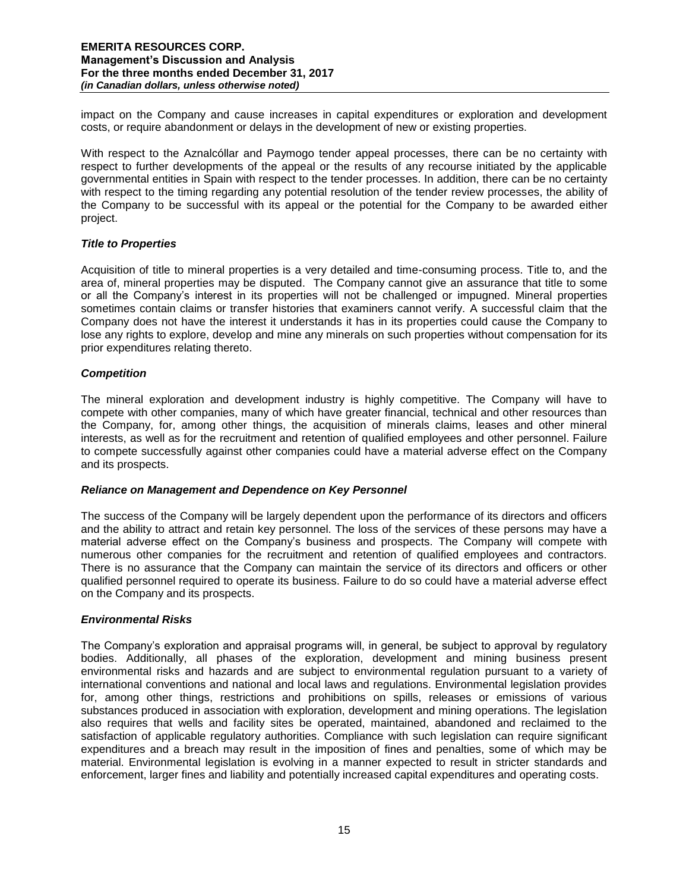impact on the Company and cause increases in capital expenditures or exploration and development costs, or require abandonment or delays in the development of new or existing properties.

With respect to the Aznalcóllar and Paymogo tender appeal processes, there can be no certainty with respect to further developments of the appeal or the results of any recourse initiated by the applicable governmental entities in Spain with respect to the tender processes. In addition, there can be no certainty with respect to the timing regarding any potential resolution of the tender review processes, the ability of the Company to be successful with its appeal or the potential for the Company to be awarded either project.

## *Title to Properties*

Acquisition of title to mineral properties is a very detailed and time-consuming process. Title to, and the area of, mineral properties may be disputed. The Company cannot give an assurance that title to some or all the Company's interest in its properties will not be challenged or impugned. Mineral properties sometimes contain claims or transfer histories that examiners cannot verify. A successful claim that the Company does not have the interest it understands it has in its properties could cause the Company to lose any rights to explore, develop and mine any minerals on such properties without compensation for its prior expenditures relating thereto.

# *Competition*

The mineral exploration and development industry is highly competitive. The Company will have to compete with other companies, many of which have greater financial, technical and other resources than the Company, for, among other things, the acquisition of minerals claims, leases and other mineral interests, as well as for the recruitment and retention of qualified employees and other personnel. Failure to compete successfully against other companies could have a material adverse effect on the Company and its prospects.

## *Reliance on Management and Dependence on Key Personnel*

The success of the Company will be largely dependent upon the performance of its directors and officers and the ability to attract and retain key personnel. The loss of the services of these persons may have a material adverse effect on the Company's business and prospects. The Company will compete with numerous other companies for the recruitment and retention of qualified employees and contractors. There is no assurance that the Company can maintain the service of its directors and officers or other qualified personnel required to operate its business. Failure to do so could have a material adverse effect on the Company and its prospects.

# *Environmental Risks*

The Company's exploration and appraisal programs will, in general, be subject to approval by regulatory bodies. Additionally, all phases of the exploration, development and mining business present environmental risks and hazards and are subject to environmental regulation pursuant to a variety of international conventions and national and local laws and regulations. Environmental legislation provides for, among other things, restrictions and prohibitions on spills, releases or emissions of various substances produced in association with exploration, development and mining operations. The legislation also requires that wells and facility sites be operated, maintained, abandoned and reclaimed to the satisfaction of applicable regulatory authorities. Compliance with such legislation can require significant expenditures and a breach may result in the imposition of fines and penalties, some of which may be material. Environmental legislation is evolving in a manner expected to result in stricter standards and enforcement, larger fines and liability and potentially increased capital expenditures and operating costs.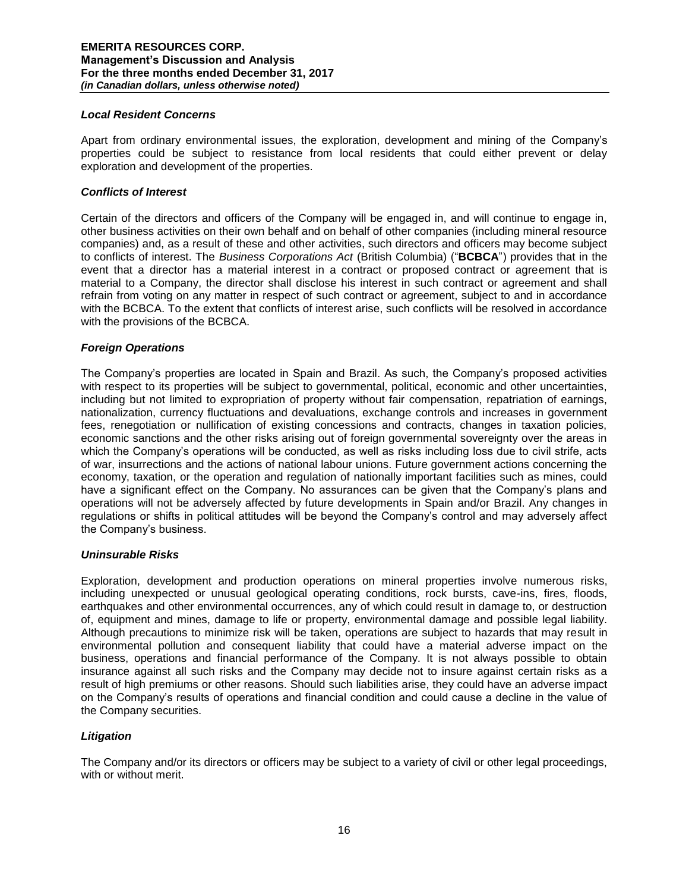### *Local Resident Concerns*

Apart from ordinary environmental issues, the exploration, development and mining of the Company's properties could be subject to resistance from local residents that could either prevent or delay exploration and development of the properties.

### *Conflicts of Interest*

Certain of the directors and officers of the Company will be engaged in, and will continue to engage in, other business activities on their own behalf and on behalf of other companies (including mineral resource companies) and, as a result of these and other activities, such directors and officers may become subject to conflicts of interest. The *Business Corporations Act* (British Columbia) ("**BCBCA**") provides that in the event that a director has a material interest in a contract or proposed contract or agreement that is material to a Company, the director shall disclose his interest in such contract or agreement and shall refrain from voting on any matter in respect of such contract or agreement, subject to and in accordance with the BCBCA. To the extent that conflicts of interest arise, such conflicts will be resolved in accordance with the provisions of the BCBCA.

#### *Foreign Operations*

The Company's properties are located in Spain and Brazil. As such, the Company's proposed activities with respect to its properties will be subject to governmental, political, economic and other uncertainties, including but not limited to expropriation of property without fair compensation, repatriation of earnings, nationalization, currency fluctuations and devaluations, exchange controls and increases in government fees, renegotiation or nullification of existing concessions and contracts, changes in taxation policies, economic sanctions and the other risks arising out of foreign governmental sovereignty over the areas in which the Company's operations will be conducted, as well as risks including loss due to civil strife, acts of war, insurrections and the actions of national labour unions. Future government actions concerning the economy, taxation, or the operation and regulation of nationally important facilities such as mines, could have a significant effect on the Company. No assurances can be given that the Company's plans and operations will not be adversely affected by future developments in Spain and/or Brazil. Any changes in regulations or shifts in political attitudes will be beyond the Company's control and may adversely affect the Company's business.

#### *Uninsurable Risks*

Exploration, development and production operations on mineral properties involve numerous risks, including unexpected or unusual geological operating conditions, rock bursts, cave-ins, fires, floods, earthquakes and other environmental occurrences, any of which could result in damage to, or destruction of, equipment and mines, damage to life or property, environmental damage and possible legal liability. Although precautions to minimize risk will be taken, operations are subject to hazards that may result in environmental pollution and consequent liability that could have a material adverse impact on the business, operations and financial performance of the Company. It is not always possible to obtain insurance against all such risks and the Company may decide not to insure against certain risks as a result of high premiums or other reasons. Should such liabilities arise, they could have an adverse impact on the Company's results of operations and financial condition and could cause a decline in the value of the Company securities.

## *Litigation*

The Company and/or its directors or officers may be subject to a variety of civil or other legal proceedings, with or without merit.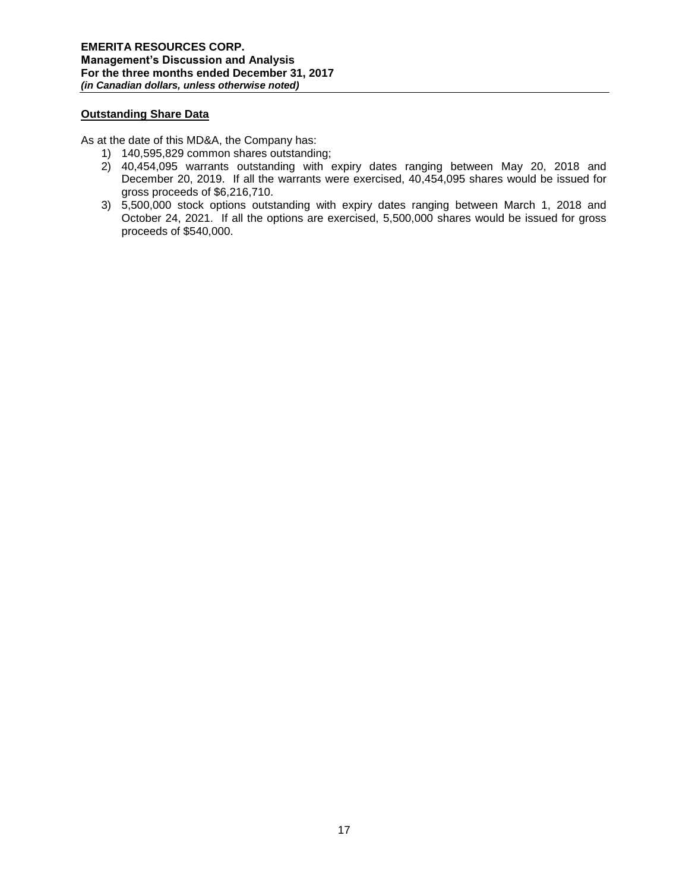# **Outstanding Share Data**

As at the date of this MD&A, the Company has:

- 1) 140,595,829 common shares outstanding;
- 2) 40,454,095 warrants outstanding with expiry dates ranging between May 20, 2018 and December 20, 2019. If all the warrants were exercised, 40,454,095 shares would be issued for gross proceeds of \$6,216,710.
- 3) 5,500,000 stock options outstanding with expiry dates ranging between March 1, 2018 and October 24, 2021. If all the options are exercised, 5,500,000 shares would be issued for gross proceeds of \$540,000.